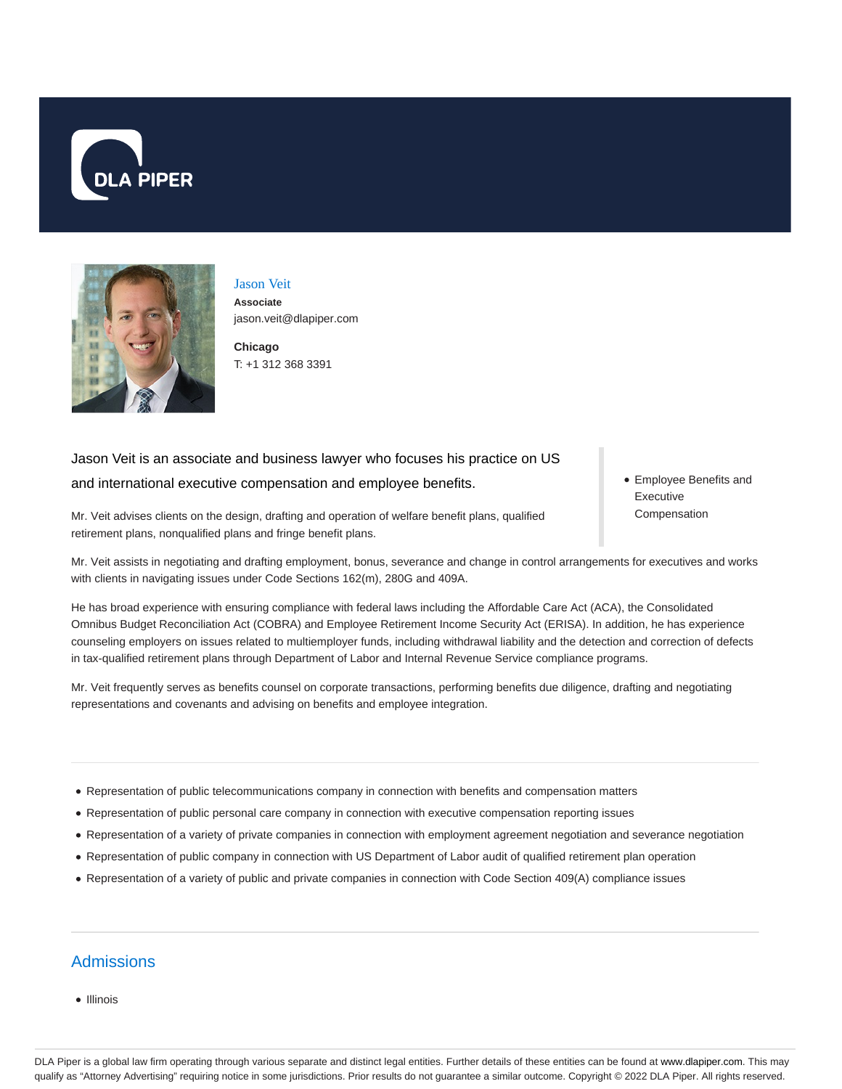



Jason Veit **Associate** jason.veit@dlapiper.com

**Chicago** T: +1 312 368 3391

# Jason Veit is an associate and business lawyer who focuses his practice on US and international executive compensation and employee benefits.

Employee Benefits and Executive Compensation

Mr. Veit advises clients on the design, drafting and operation of welfare benefit plans, qualified retirement plans, nonqualified plans and fringe benefit plans.

Mr. Veit assists in negotiating and drafting employment, bonus, severance and change in control arrangements for executives and works with clients in navigating issues under Code Sections 162(m), 280G and 409A.

He has broad experience with ensuring compliance with federal laws including the Affordable Care Act (ACA), the Consolidated Omnibus Budget Reconciliation Act (COBRA) and Employee Retirement Income Security Act (ERISA). In addition, he has experience counseling employers on issues related to multiemployer funds, including withdrawal liability and the detection and correction of defects in tax-qualified retirement plans through Department of Labor and Internal Revenue Service compliance programs.

Mr. Veit frequently serves as benefits counsel on corporate transactions, performing benefits due diligence, drafting and negotiating representations and covenants and advising on benefits and employee integration.

- Representation of public telecommunications company in connection with benefits and compensation matters
- Representation of public personal care company in connection with executive compensation reporting issues
- Representation of a variety of private companies in connection with employment agreement negotiation and severance negotiation
- Representation of public company in connection with US Department of Labor audit of qualified retirement plan operation
- Representation of a variety of public and private companies in connection with Code Section 409(A) compliance issues

# Admissions

• Illinois

DLA Piper is a global law firm operating through various separate and distinct legal entities. Further details of these entities can be found at www.dlapiper.com. This may qualify as "Attorney Advertising" requiring notice in some jurisdictions. Prior results do not guarantee a similar outcome. Copyright @ 2022 DLA Piper. All rights reserved.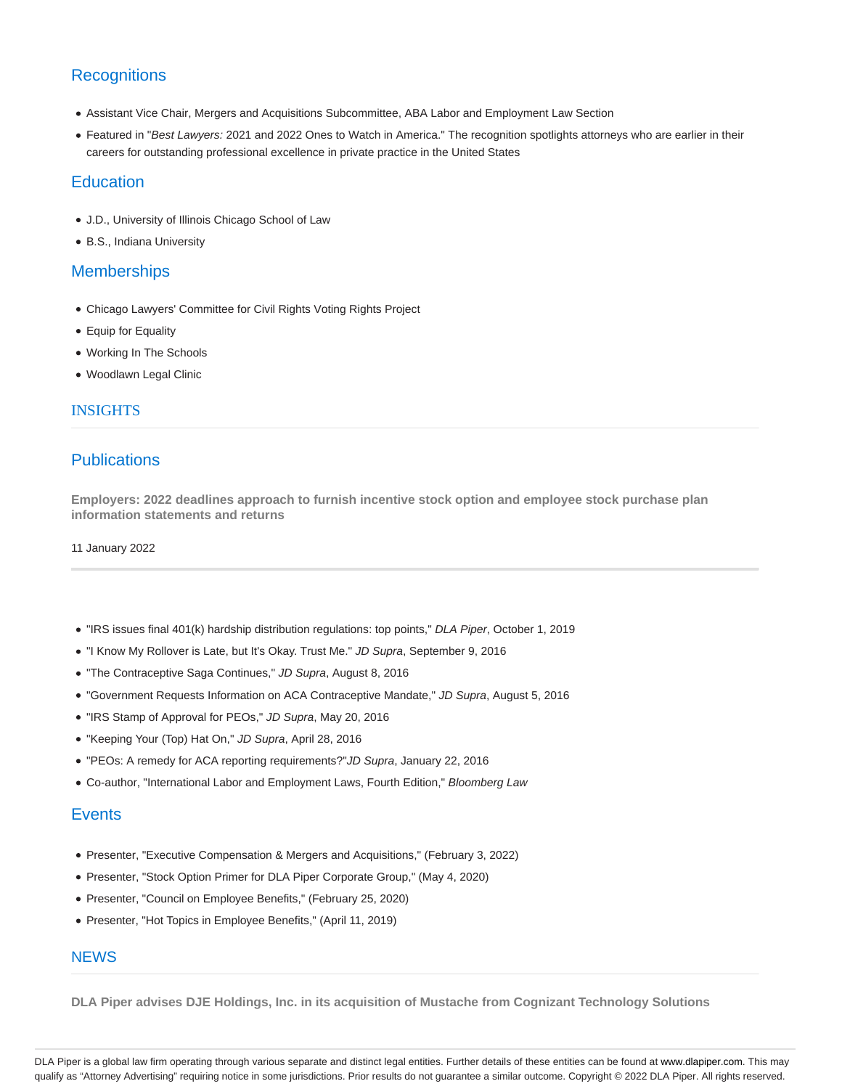# **Recognitions**

- Assistant Vice Chair, Mergers and Acquisitions Subcommittee, ABA Labor and Employment Law Section
- Featured in "Best Lawyers: 2021 and 2022 Ones to Watch in America." The recognition spotlights attorneys who are earlier in their careers for outstanding professional excellence in private practice in the United States

### **Education**

- J.D., University of Illinois Chicago School of Law
- B.S., Indiana University

### **Memberships**

- Chicago Lawyers' Committee for Civil Rights Voting Rights Project
- Equip for Equality
- Working In The Schools
- Woodlawn Legal Clinic

### INSIGHTS

## **Publications**

**Employers: 2022 deadlines approach to furnish incentive stock option and employee stock purchase plan information statements and returns**

11 January 2022

- "IRS issues final 401(k) hardship distribution regulations: top points," DLA Piper, October 1, 2019
- "I Know My Rollover is Late, but It's Okay. Trust Me." JD Supra, September 9, 2016
- . "The Contraceptive Saga Continues," JD Supra, August 8, 2016
- "Government Requests Information on ACA Contraceptive Mandate," JD Supra, August 5, 2016
- . "IRS Stamp of Approval for PEOs," JD Supra, May 20, 2016
- "Keeping Your (Top) Hat On," JD Supra, April 28, 2016
- "PEOs: A remedy for ACA reporting requirements?"JD Supra, January 22, 2016
- Co-author, "International Labor and Employment Laws, Fourth Edition," Bloomberg Law

### **Events**

- Presenter, "Executive Compensation & Mergers and Acquisitions," (February 3, 2022)
- Presenter, "Stock Option Primer for DLA Piper Corporate Group," (May 4, 2020)
- Presenter, "Council on Employee Benefits," (February 25, 2020)
- Presenter, "Hot Topics in Employee Benefits," (April 11, 2019)

### **NEWS**

**DLA Piper advises DJE Holdings, Inc. in its acquisition of Mustache from Cognizant Technology Solutions**

DLA Piper is a global law firm operating through various separate and distinct legal entities. Further details of these entities can be found at www.dlapiper.com. This may qualify as "Attorney Advertising" requiring notice in some jurisdictions. Prior results do not guarantee a similar outcome. Copyright © 2022 DLA Piper. All rights reserved.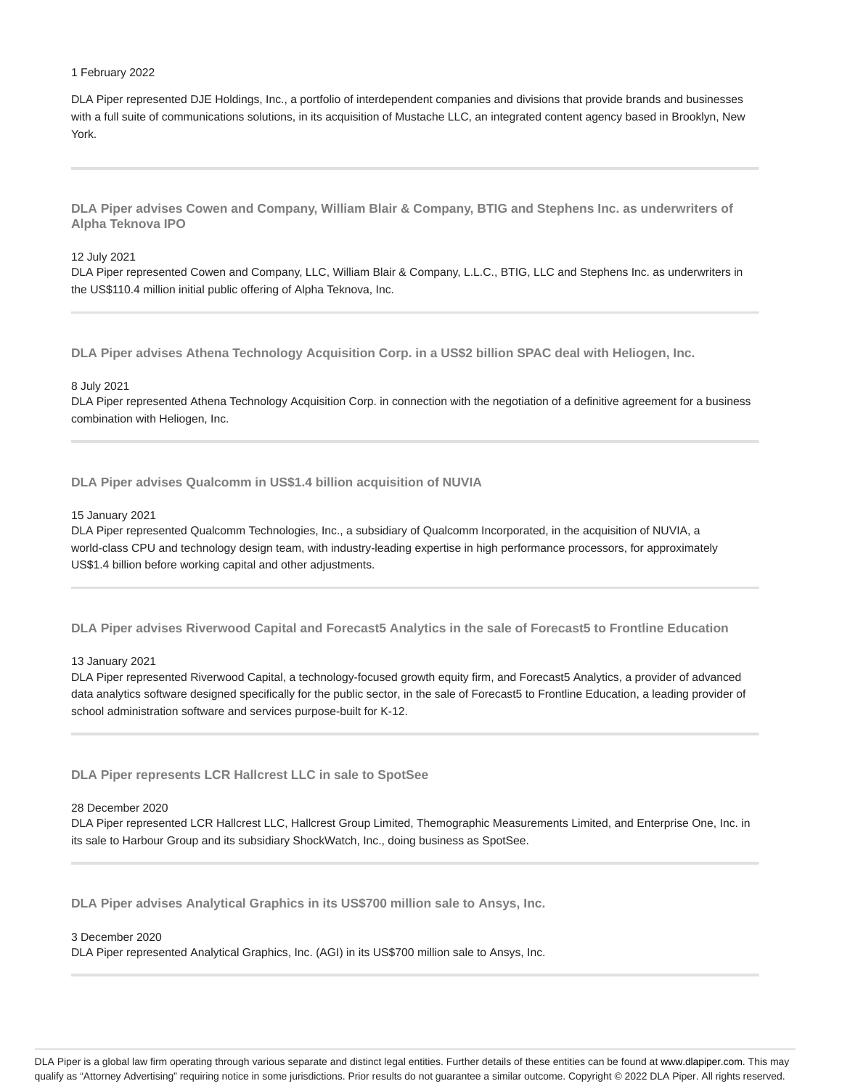#### 1 February 2022

DLA Piper represented DJE Holdings, Inc., a portfolio of interdependent companies and divisions that provide brands and businesses with a full suite of communications solutions, in its acquisition of Mustache LLC, an integrated content agency based in Brooklyn, New York.

**DLA Piper advises Cowen and Company, William Blair & Company, BTIG and Stephens Inc. as underwriters of Alpha Teknova IPO**

#### 12 July 2021

DLA Piper represented Cowen and Company, LLC, William Blair & Company, L.L.C., BTIG, LLC and Stephens Inc. as underwriters in the US\$110.4 million initial public offering of Alpha Teknova, Inc.

**DLA Piper advises Athena Technology Acquisition Corp. in a US\$2 billion SPAC deal with Heliogen, Inc.**

#### 8 July 2021

DLA Piper represented Athena Technology Acquisition Corp. in connection with the negotiation of a definitive agreement for a business combination with Heliogen, Inc.

**DLA Piper advises Qualcomm in US\$1.4 billion acquisition of NUVIA**

#### 15 January 2021

DLA Piper represented Qualcomm Technologies, Inc., a subsidiary of Qualcomm Incorporated, in the acquisition of NUVIA, a world-class CPU and technology design team, with industry-leading expertise in high performance processors, for approximately US\$1.4 billion before working capital and other adjustments.

**DLA Piper advises Riverwood Capital and Forecast5 Analytics in the sale of Forecast5 to Frontline Education**

13 January 2021

DLA Piper represented Riverwood Capital, a technology-focused growth equity firm, and Forecast5 Analytics, a provider of advanced data analytics software designed specifically for the public sector, in the sale of Forecast5 to Frontline Education, a leading provider of school administration software and services purpose-built for K-12.

**DLA Piper represents LCR Hallcrest LLC in sale to SpotSee**

#### 28 December 2020

DLA Piper represented LCR Hallcrest LLC, Hallcrest Group Limited, Themographic Measurements Limited, and Enterprise One, Inc. in its sale to Harbour Group and its subsidiary ShockWatch, Inc., doing business as SpotSee.

**DLA Piper advises Analytical Graphics in its US\$700 million sale to Ansys, Inc.**

#### 3 December 2020

DLA Piper represented Analytical Graphics, Inc. (AGI) in its US\$700 million sale to Ansys, Inc.